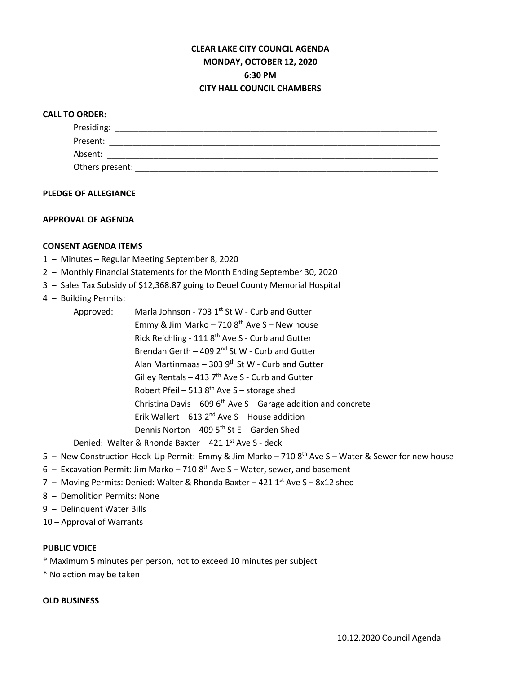# **CLEAR LAKE CITY COUNCIL AGENDA MONDAY, OCTOBER 12, 2020 6:30 PM CITY HALL COUNCIL CHAMBERS**

## **CALL TO ORDER:**

| Presiding:      |  |  |  |
|-----------------|--|--|--|
| Present:        |  |  |  |
| Absent:         |  |  |  |
| Others present: |  |  |  |

#### **PLEDGE OF ALLEGIANCE**

## **APPROVAL OF AGENDA**

## **CONSENT AGENDA ITEMS**

- 1 Minutes Regular Meeting September 8, 2020
- 2 Monthly Financial Statements for the Month Ending September 30, 2020
- 3 Sales Tax Subsidy of \$12,368.87 going to Deuel County Memorial Hospital
- 4 Building Permits:
	- Approved: Marla Johnson 703  $1<sup>st</sup>$  St W Curb and Gutter Emmy & Jim Marko – 710  $8<sup>th</sup>$  Ave S – New house Rick Reichling - 111 8th Ave S - Curb and Gutter Brendan Gerth – 409  $2^{nd}$  St W - Curb and Gutter Alan Martinmaas – 303  $9<sup>th</sup>$  St W - Curb and Gutter Gilley Rentals - 413  $7<sup>th</sup>$  Ave S - Curb and Gutter Robert Pfeil – 513  $8<sup>th</sup>$  Ave S – storage shed Christina Davis – 609  $6<sup>th</sup>$  Ave S – Garage addition and concrete Erik Wallert – 613  $2^{nd}$  Ave S – House addition Dennis Norton – 409  $5<sup>th</sup>$  St E – Garden Shed

Denied: Walter & Rhonda Baxter – 421  $1<sup>st</sup>$  Ave S - deck

- 5 New Construction Hook-Up Permit: Emmy & Jim Marko 710 8<sup>th</sup> Ave S Water & Sewer for new house
- 6 Excavation Permit: Jim Marko 710  $8<sup>th</sup>$  Ave S Water, sewer, and basement
- 7 Moving Permits: Denied: Walter & Rhonda Baxter 421 1<sup>st</sup> Ave S 8x12 shed
- 8 Demolition Permits: None
- 9 Delinquent Water Bills
- 10 Approval of Warrants

#### **PUBLIC VOICE**

- \* Maximum 5 minutes per person, not to exceed 10 minutes per subject
- \* No action may be taken

## **OLD BUSINESS**